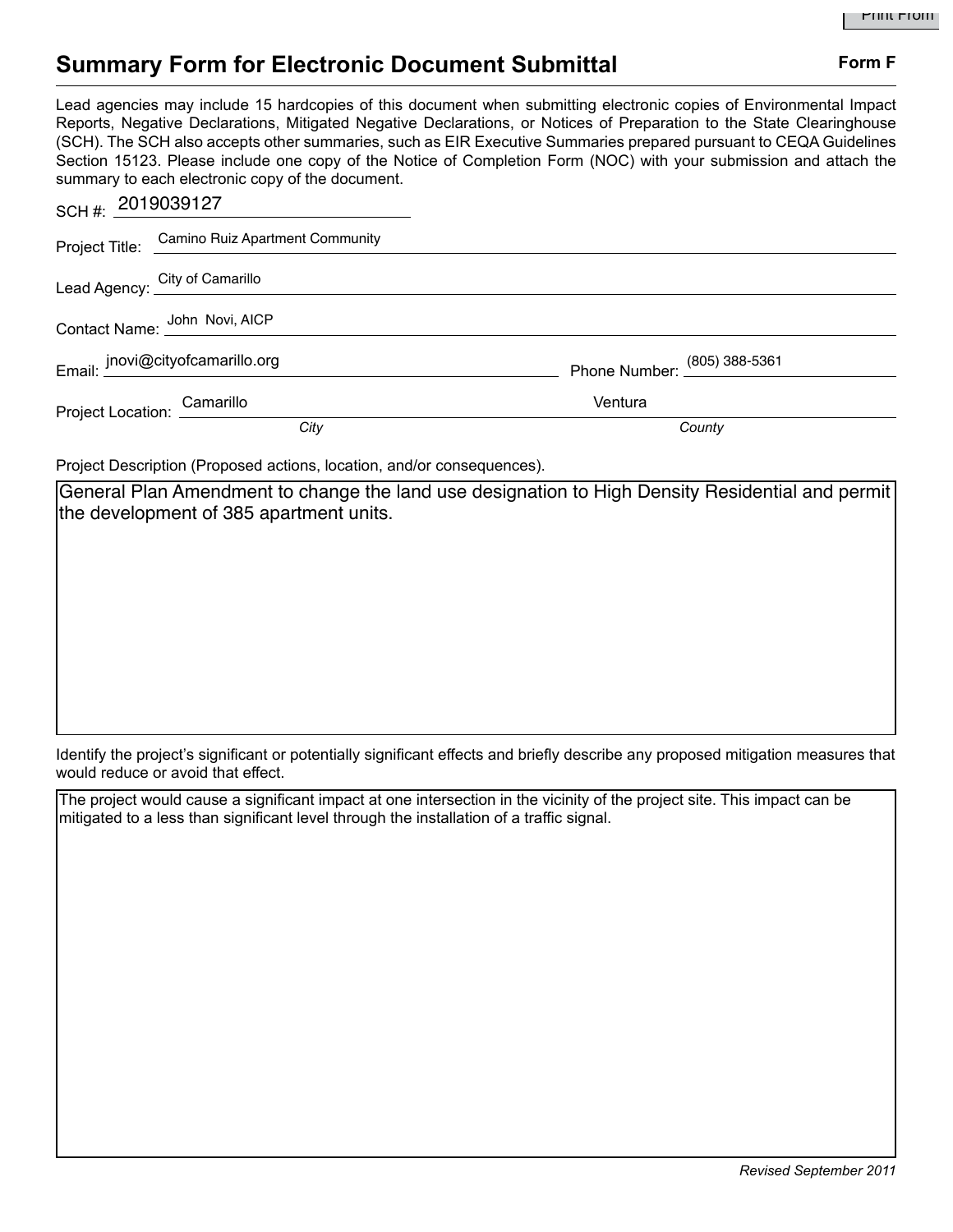## **Summary Form for Electronic Document Submittal Form F Form F**

Lead agencies may include 15 hardcopies of this document when submitting electronic copies of Environmental Impact Reports, Negative Declarations, Mitigated Negative Declarations, or Notices of Preparation to the State Clearinghouse (SCH). The SCH also accepts other summaries, such as EIR Executive Summaries prepared pursuant to CEQA Guidelines Section 15123. Please include one copy of the Notice of Completion Form (NOC) with your submission and attach the summary to each electronic copy of the document.

| SCH#: $2019039127$          |                                                |                              |
|-----------------------------|------------------------------------------------|------------------------------|
|                             | Project Title: Camino Ruiz Apartment Community |                              |
|                             | Lead Agency: City of Camarillo                 |                              |
|                             | Contact Name: John Novi, AICP                  |                              |
|                             | Email: jnovi@cityofcamarillo.org               | Phone Number: (805) 388-5361 |
| Project Location: Camarillo |                                                | Ventura                      |
|                             | City                                           | County                       |

Project Description (Proposed actions, location, and/or consequences).

General Plan Amendment to change the land use designation to High Density Residential and permit the development of 385 apartment units.

Identify the project's significant or potentially significant effects and briefly describe any proposed mitigation measures that would reduce or avoid that effect.

The project would cause a significant impact at one intersection in the vicinity of the project site. This impact can be mitigated to a less than significant level through the installation of a traffic signal.